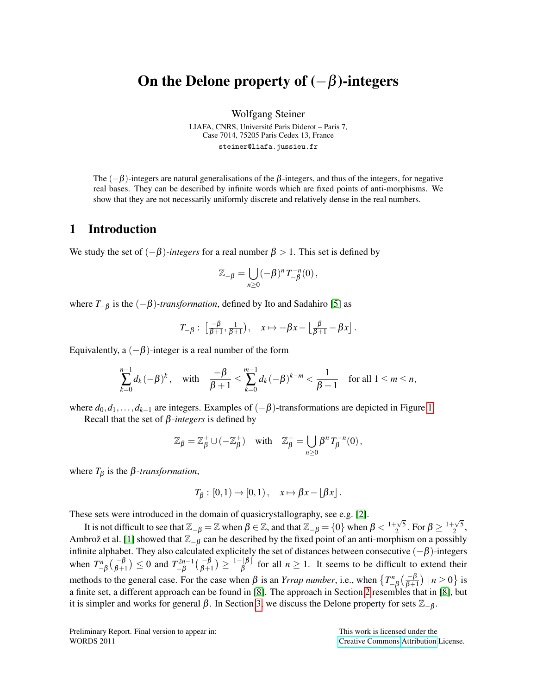# On the Delone property of  $(-\beta)$ -integers

Wolfgang Steiner

LIAFA, CNRS, Université Paris Diderot - Paris 7, Case 7014, 75205 Paris Cedex 13, France steiner@liafa.jussieu.fr

The  $(-\beta)$ -integers are natural generalisations of the  $\beta$ -integers, and thus of the integers, for negative real bases. They can be described by infinite words which are fixed points of anti-morphisms. We show that they are not necessarily uniformly discrete and relatively dense in the real numbers.

## 1 Introduction

We study the set of  $(-\beta)$ *-integers* for a real number  $\beta > 1$ . This set is defined by

$$
\mathbb{Z}_{-\beta} = \bigcup_{n\geq 0} (-\beta)^n T_{-\beta}^{-n}(0),
$$

where  $T_{-\beta}$  is the  $(-\beta)$ -transformation, defined by Ito and Sadahiro [\[5\]](#page-9-0) as

$$
T_{-\beta}:\ \left[\frac{-\beta}{\beta+1},\frac{1}{\beta+1}\right),\quad x\mapsto -\beta x-\left\lfloor\frac{\beta}{\beta+1}-\beta x\right\rfloor.
$$

Equivalently, a  $(-\beta)$ -integer is a real number of the form

$$
\sum_{k=0}^{n-1} d_k (-\beta)^k, \text{ with } \frac{-\beta}{\beta+1} \leq \sum_{k=0}^{m-1} d_k (-\beta)^{k-m} < \frac{1}{\beta+1} \text{ for all } 1 \leq m \leq n,
$$

where  $d_0, d_1, \ldots, d_{k-1}$  are integers. Examples of  $(-\beta)$ -transformations are depicted in Figure [1.](#page-4-0)

Recall that the set of β*-integers* is defined by

$$
\mathbb{Z}_{\beta} = \mathbb{Z}_{\beta}^+ \cup (-\mathbb{Z}_{\beta}^+) \quad \text{with} \quad \mathbb{Z}_{\beta}^+ = \bigcup_{n \geq 0} \beta^n T_{\beta}^{-n}(0),
$$

where  $T_\beta$  is the  $\beta$ -transformation,

$$
T_{\beta}:[0,1)\to[0,1)\,,\quad x\mapsto \beta x-\lfloor \beta x\rfloor\,.
$$

These sets were introduced in the domain of quasicrystallography, see e.g. [\[2\]](#page-9-1).

It is not difficult to see that  $\mathbb{Z}_{-\beta} = \mathbb{Z}$  when  $\beta \in \mathbb{Z}$ , and that  $\mathbb{Z}_{-\beta} = \{0\}$  when  $\beta < \frac{1+\sqrt{5}}{2}$  $\frac{1+\sqrt{5}}{2}$ . For  $\beta \geq \frac{1+\sqrt{5}}{2}$  $\frac{1}{2}$ , Ambrož et al. [\[1\]](#page-9-2) showed that  $\mathbb{Z}_{-\beta}$  can be described by the fixed point of an anti-morphism on a possibly infinite alphabet. They also calculated explicitely the set of distances between consecutive  $(-\beta)$ -integers when  $T_{-\beta}^n\left(\frac{-\beta}{\beta+1}\right) \leq 0$  and  $T_{-\beta}^{2n-1}$  $\frac{\lambda^{-2n-1}}{-\beta}\big(\frac{-\beta}{\beta+1}\big)\geq\frac{1-\lfloor\beta\rfloor}{\beta}$  $\frac{f(p)}{\beta}$  for all  $n \geq 1$ . It seems to be difficult to extend their methods to the general case. For the case when  $\beta$  is an *Yrrap number*, i.e., when  $\left\{T_{-\beta}^n\left(\frac{-\beta}{\beta+1}\right) \mid n \ge 0\right\}$  is a finite set, a different approach can be found in [\[8\]](#page-9-3). The approach in Section [2](#page-1-0) resembles that in [\[8\]](#page-9-3), but it is simpler and works for general  $\beta$ . In Section [3,](#page-6-0) we discuss the Delone property for sets  $\mathbb{Z}_{-\beta}$ .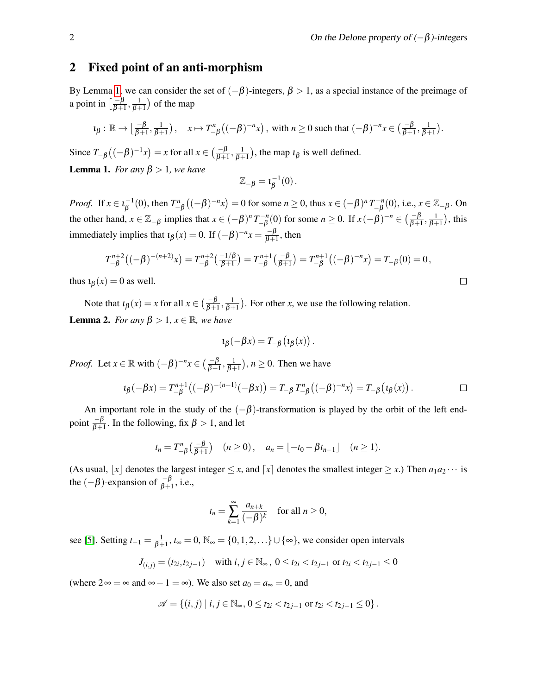## <span id="page-1-0"></span>2 Fixed point of an anti-morphism

By Lemma [1,](#page-1-1) we can consider the set of  $(-\beta)$ -integers,  $\beta > 1$ , as a special instance of the preimage of a point in  $\left[\frac{-\beta}{\beta+}\right]$  $\frac{-\beta}{\beta+1}, \frac{1}{\beta+1}$ ) of the map

$$
\iota_{\beta} : \mathbb{R} \to \left[\frac{-\beta}{\beta+1}, \frac{1}{\beta+1}\right), \quad x \mapsto T_{-\beta}^n\left((-\beta)^{-n}x\right), \text{ with } n \ge 0 \text{ such that } (-\beta)^{-n}x \in \left(\frac{-\beta}{\beta+1}, \frac{1}{\beta+1}\right).
$$

<span id="page-1-1"></span>Since  $T_{-\beta}\left((-\beta)^{-1}x\right) = x$  for all  $x \in \left(\frac{-\beta}{\beta+1}, \frac{1}{\beta+1}\right)$ , the map  $\iota_{\beta}$  is well defined. **Lemma 1.** *For any*  $\beta > 1$ *, we have* 

$$
\mathbb{Z}_{-\beta}=\iota_{\beta}^{-1}(0).
$$

*Proof.* If  $x \in \iota_R^{-1}$  $g^{-1}(0)$ , then  $T_{-\beta}^n((-\beta)^{-n}x) = 0$  for some  $n \ge 0$ , thus  $x \in (-\beta)^n T_{-\beta}^{-n}$  $\Gamma^{-n}_{-\beta}(0)$ , i.e., *x* ∈ ℤ<sub>−β</sub>. On the other hand,  $x \in \mathbb{Z}_{-\beta}$  implies that  $x \in (-\beta)^n T^{-n}_{-\beta}$  $\binom{n-n}{-1}(0)$  for some *n* ≥ 0. If  $x(-\beta)^{-n} \in \left(\frac{-\beta}{\beta+1}, \frac{1}{\beta+1}\right)$ , this immediately implies that  $\iota_{\beta}(x) = 0$ . If  $(-\beta)^{-n}x = \frac{-\beta}{\beta + 1}$  $\frac{-p}{\beta+1}$ , then

$$
T_{-\beta}^{n+2}((-\beta)^{-(n+2)}x) = T_{-\beta}^{n+2}(\frac{-1/\beta}{\beta+1}) = T_{-\beta}^{n+1}(\frac{-\beta}{\beta+1}) = T_{-\beta}^{n+1}((-\beta)^{-n}x) = T_{-\beta}(0) = 0,
$$

thus  $\iota_{\beta}(x) = 0$  as well.

<span id="page-1-2"></span>Note that  $\iota_{\beta}(x) = x$  for all  $x \in \left(\frac{-\beta}{\beta+1}, \frac{1}{\beta+1}\right)$ . For other *x*, we use the following relation. **Lemma 2.** *For any*  $β > 1$ *, x*  $∈ ℝ$ *, we have* 

$$
\iota_{\beta}(-\beta x)=T_{-\beta}(\iota_{\beta}(x)).
$$

*Proof.* Let  $x \in \mathbb{R}$  with  $(-\beta)^{-n}x \in \left(\frac{-\beta}{\beta+1}, \frac{1}{\beta+1}\right)$ ,  $n \ge 0$ . Then we have

$$
\iota_{\beta}(-\beta x) = T_{-\beta}^{n+1}((-\beta)^{-(n+1)}(-\beta x)) = T_{-\beta} T_{-\beta}^{n}((-\beta)^{-n}x) = T_{-\beta}(\iota_{\beta}(x)).
$$

An important role in the study of the  $(-\beta)$ -transformation is played by the orbit of the left endpoint  $\frac{-\beta}{\beta+1}$ . In the following, fix  $\beta > 1$ , and let

$$
t_n = T_{-\beta}^n\left(\frac{-\beta}{\beta+1}\right) \quad (n \ge 0), \quad a_n = \lfloor -t_0 - \beta t_{n-1} \rfloor \quad (n \ge 1).
$$

(As usual,  $|x|$  denotes the largest integer  $\leq x$ , and  $[x]$  denotes the smallest integer  $\geq x$ .) Then  $a_1a_2\cdots$  is the  $(-\beta)$ -expansion of  $\frac{-\beta}{\beta+1}$ , i.e.,

$$
t_n = \sum_{k=1}^{\infty} \frac{a_{n+k}}{(-\beta)^k} \quad \text{for all } n \ge 0,
$$

see [\[5\]](#page-9-0). Setting  $t_{-1} = \frac{1}{\beta+1}$ ,  $t_{\infty} = 0$ ,  $\mathbb{N}_{\infty} = \{0, 1, 2, \ldots\}$  ∪  $\{\infty\}$ , we consider open intervals

$$
J_{(i,j)} = (t_{2i}, t_{2j-1}) \quad \text{with } i, j \in \mathbb{N}_{\infty}, \ 0 \le t_{2i} < t_{2j-1} \text{ or } t_{2i} < t_{2j-1} \le 0
$$

(where  $2 \infty = \infty$  and  $\infty - 1 = \infty$ ). We also set  $a_0 = a_\infty = 0$ , and

$$
\mathscr{A} = \{(i,j) \mid i,j \in \mathbb{N}_{\infty}, 0 \leq t_{2i} < t_{2j-1} \text{ or } t_{2i} < t_{2j-1} \leq 0\}.
$$

$$
\sqcup
$$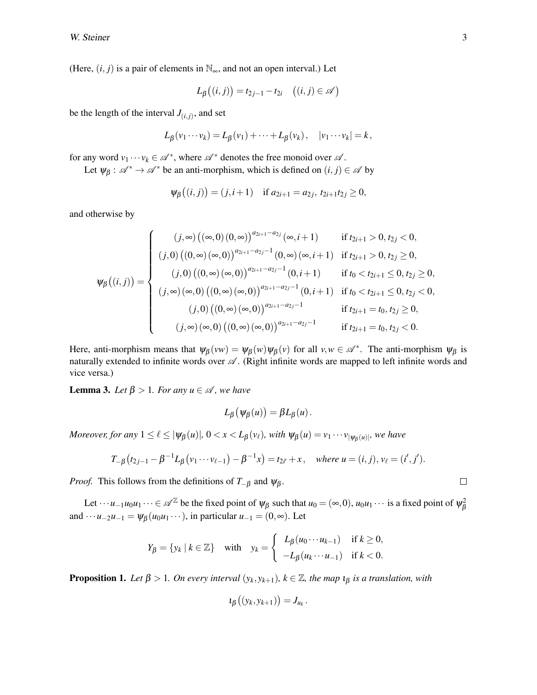(Here,  $(i, j)$  is a pair of elements in  $\mathbb{N}_{\infty}$ , and not an open interval.) Let

$$
L_{\beta}((i,j)) = t_{2j-1} - t_{2i} \quad ((i,j) \in \mathscr{A})
$$

be the length of the interval  $J_{(i,j)}$ , and set

$$
L_{\beta}(v_1\cdots v_k)=L_{\beta}(v_1)+\cdots+L_{\beta}(v_k), \quad |v_1\cdots v_k|=k,
$$

for any word  $v_1 \cdots v_k \in \mathcal{A}^*$ , where  $\mathcal{A}^*$  denotes the free monoid over  $\mathcal{A}$ .

Let  $\psi_{\beta}: \mathcal{A}^* \to \mathcal{A}^*$  be an anti-morphism, which is defined on  $(i, j) \in \mathcal{A}$  by

$$
\psi_{\beta}((i,j)) = (j,i+1)
$$
 if  $a_{2i+1} = a_{2j}, t_{2i+1}t_{2j} \ge 0$ ,

and otherwise by

$$
\psi_{\beta}((i,j)) = \begin{cases}\n(j,\infty) ((\infty,0) (0,\infty))^{a_{2i+1}-a_{2j}}(\infty,i+1) & \text{if } t_{2i+1} > 0, t_{2j} < 0, \\
(j,0) ((0,\infty) (\infty,0))^{a_{2i+1}-a_{2j}-1} (0,\infty) (\infty,i+1) & \text{if } t_{2i+1} > 0, t_{2j} \ge 0, \\
(j,0) ((0,\infty) (\infty,0))^{a_{2i+1}-a_{2j}-1} (0,i+1) & \text{if } t_0 < t_{2i+1} \le 0, t_{2j} \ge 0, \\
(j,\infty) (\infty,0) ((0,\infty) (\infty,0))^{a_{2i+1}-a_{2j}-1} (0,i+1) & \text{if } t_0 < t_{2i+1} \le 0, t_{2j} < 0, \\
(j,0) ((0,\infty) (\infty,0))^{a_{2i+1}-a_{2j}-1} & \text{if } t_{2i+1} = t_0, t_{2j} \ge 0, \\
(j,\infty) (\infty,0) ((0,\infty) (\infty,0))^{a_{2i+1}-a_{2j}-1} & \text{if } t_{2i+1} = t_0, t_{2j} < 0.\n\end{cases}
$$

Here, anti-morphism means that  $\psi_{\beta}(vw) = \psi_{\beta}(w)\psi_{\beta}(v)$  for all  $v, w \in \mathcal{A}^*$ . The anti-morphism  $\psi_{\beta}$  is naturally extended to infinite words over  $\mathscr A$ . (Right infinite words are mapped to left infinite words and vice versa.)

<span id="page-2-0"></span>**Lemma 3.** *Let*  $\beta > 1$ *. For any*  $u \in \mathcal{A}$ *, we have* 

$$
L_{\beta}(\psi_{\beta}(u)) = \beta L_{\beta}(u).
$$

*Moreover, for any*  $1 \leq \ell \leq |\psi_{\beta}(u)|$ ,  $0 < x < L_{\beta}(v_{\ell})$ , with  $\psi_{\beta}(u) = v_1 \cdots v_{|\psi_{\beta}(u)|}$ , we have

$$
T_{-\beta}(t_{2j-1}-\beta^{-1}L_{\beta}(v_1\cdots v_{\ell-1})-\beta^{-1}x)=t_{2i'}+x, \text{ where } u=(i,j), v_{\ell}=(i',j').
$$

*Proof.* This follows from the definitions of  $T_{-\beta}$  and  $\psi_{\beta}$ .

Let  $\cdots u_{-1}u_0u_1\cdots \in \mathscr{A}^{\mathbb{Z}}$  be the fixed point of  $\psi_\beta$  such that  $u_0 = (\infty,0)$ ,  $u_0u_1\cdots$  is a fixed point of  $\psi_\beta^2$ β and  $\cdots u_{-2}u_{-1} = \psi_B(u_0u_1\cdots)$ , in particular  $u_{-1} = (0, \infty)$ . Let

$$
Y_{\beta} = \{y_k \mid k \in \mathbb{Z}\} \quad \text{with} \quad y_k = \begin{cases} L_{\beta}(u_0 \cdots u_{k-1}) & \text{if } k \ge 0, \\ -L_{\beta}(u_k \cdots u_{-1}) & \text{if } k < 0. \end{cases}
$$

<span id="page-2-1"></span>**Proposition 1.** Let  $\beta > 1$ . On every interval  $(y_k, y_{k+1})$ ,  $k \in \mathbb{Z}$ , the map  $\iota_{\beta}$  is a translation, with

$$
\iota_{\beta}\big((y_k,y_{k+1})\big)=J_{u_k}.
$$

$$
\sqcup
$$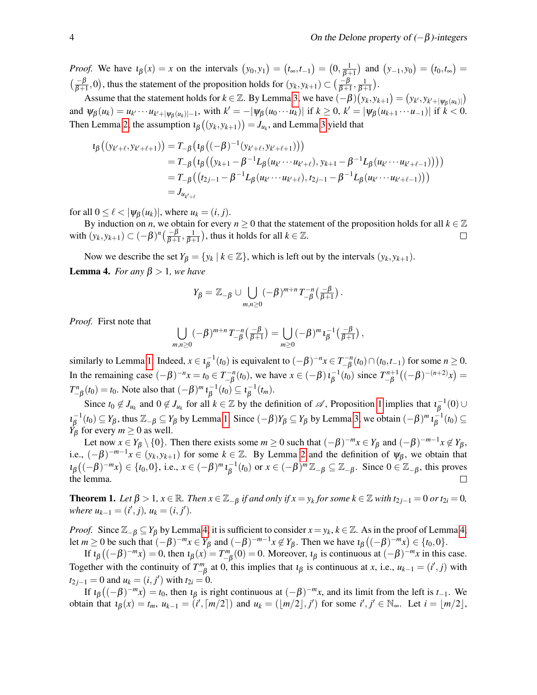*Proof.* We have  $\iota_{\beta}(x) = x$  on the intervals  $(y_0, y_1) = (t_{\infty}, t_{-1}) = (0, \frac{1}{\beta+1})$  and  $(y_{-1}, y_0) = (t_0, t_{\infty}) = (0, \frac{1}{\beta+1})$  $\left(\frac{-\beta}{\beta+1},0\right)$ , thus the statement of the proposition holds for  $(y_k, y_{k+1}) \subset \left(\frac{-\beta}{\beta+1}, \frac{1}{\beta+1}\right)$ .

Assume that the statement holds for  $k \in \mathbb{Z}$ . By Lemma [3,](#page-2-0) we have  $(-\beta)(y_k, y_{k+1}) = (y_{k'}, y_{k'+|\psi_{\beta}(u_k)|})$ and  $\psi_{\beta}(u_k) = u_{k'} \cdots u_{k'+|\psi_{\beta}(u_k)|-1}$ , with  $k' = -|\psi_{\beta}(u_0 \cdots u_k)|$  if  $k \ge 0$ ,  $k' = |\psi_{\beta}(u_{k+1} \cdots u_{-1})|$  if  $k < 0$ . Then Lemma [2,](#page-1-2) the assumption  $\iota_{\beta}\left(\left(y_k, y_{k+1}\right)\right) = J_{u_k}$ , and Lemma [3](#page-2-0) yield that

$$
\begin{aligned} \iota_{\beta}\big((y_{k'+\ell},y_{k'+\ell+1})\big) &= T_{-\beta}\big(\iota_{\beta}\big((-\beta)^{-1}(y_{k'+\ell},y_{k'+\ell+1})\big)\big) \\ &= T_{-\beta}\big(\iota_{\beta}\big((y_{k+1}-\beta^{-1}L_{\beta}(u_{k'}\cdots u_{k'+\ell}),y_{k+1}-\beta^{-1}L_{\beta}(u_{k'}\cdots u_{k'+\ell-1})\big)\big)\big) \\ &= T_{-\beta}\big(\big(t_{2j-1}-\beta^{-1}L_{\beta}(u_{k'}\cdots u_{k'+\ell}),t_{2j-1}-\beta^{-1}L_{\beta}(u_{k'}\cdots u_{k'+\ell-1})\big)\big) \\ &= J_{u_{k'+\ell}} \end{aligned}
$$

for all  $0 \leq \ell < |\psi_{\beta}(u_k)|$ , where  $u_k = (i, j)$ .

By induction on *n*, we obtain for every  $n \geq 0$  that the statement of the proposition holds for all  $k \in \mathbb{Z}$ with  $(y_k, y_{k+1}) \subset (-\beta)^n \left(\frac{-\beta}{\beta+1}, \frac{1}{\beta+1}\right)$ , thus it holds for all  $k \in \mathbb{Z}$ .  $\Box$ 

<span id="page-3-0"></span>Now we describe the set  $Y_{\beta} = \{y_k | k \in \mathbb{Z}\}\$ , which is left out by the intervals  $(y_k, y_{k+1})$ . **Lemma 4.** *For any*  $\beta > 1$ *, we have* 

$$
Y_{\beta} = \mathbb{Z}_{-\beta} \cup \bigcup_{m,n \geq 0} (-\beta)^{m+n} T_{-\beta}^{-n} \left( \frac{-\beta}{\beta+1} \right).
$$

*Proof.* First note that

$$
\bigcup_{m,n\geq 0}(-\beta)^{m+n}T_{-\beta}^{-n}\left(\frac{-\beta}{\beta+1}\right)=\bigcup_{m\geq 0}(-\beta)^m\iota_{\beta}^{-1}\left(\frac{-\beta}{\beta+1}\right),
$$

similarly to Lemma [1.](#page-1-1) Indeed,  $x \in \iota_B^{-1}$  $\beta^{-1}(t_0)$  is equivalent to  $(-\beta)^{-n}x \in T^{-n}_{-\beta}$  $\binom{n-n}{-β}(t_0) \cap (t_0, t_{-1})$  for some *n* ≥ 0. In the remaining case  $(-\beta)^{-n}x = t_0 \in T_{-\beta}^{-n}$  $\int_{-\beta}^{-n}(t_0)$ , we have  $x \in (-\beta) \, i_{\beta}^{-1}$  $\overline{\beta}^{1}(t_0)$  since  $T_{-\beta}^{n+1}$  $\int_{-\beta}^{n+1} ((-\beta)^{-(n+2)}x)$  =  $T_{-\beta}^n(t_0) = t_0$ . Note also that  $(-\beta)^m \iota_{\beta}^{-1}$  $\overline{\beta}^{-1}(t_0) \subseteq \iota_{\beta}^{-1}$  $\frac{1}{\beta}(t_m)$ .

Since  $t_0 \notin J_{u_k}$  and  $0 \notin J_{u_k}$  for all  $k \in \mathbb{Z}$  by the definition of  $\mathscr{A}$ , Proposition [1](#page-2-1) implies that  $t_\beta^{-1}$  $\overline{\beta}^{-1}(0) \cup$  $\iota_{\beta}^{-1}(t_0) \subseteq Y_{\beta}$ , thus  $\mathbb{Z}_{-\beta} \subseteq Y_{\beta}$  by Lemma [1.](#page-1-1) Since  $(-\beta)Y_{\beta} \subseteq Y_{\beta}$  by Lemma [3,](#page-2-0) we obtain  $(-\beta)^m \iota_{\beta}^{-1}$  $Y_{\beta}^{(0)} \leftarrow Y_{\beta}$  for every  $m \ge 0$  as well.  $\overline{\beta}^{1}(t_0) \subseteq$ 

Let now  $x \in Y_\beta \setminus \{0\}$ . Then there exists some  $m \ge 0$  such that  $(-\beta)^{-m}x \in Y_\beta$  and  $(-\beta)^{-m-1}x \notin Y_\beta$ , i.e.,  $(-\beta)^{-m-1}x \in (y_k, y_{k+1})$  for some  $k \in \mathbb{Z}$ . By Lemma [2](#page-1-2) and the definition of  $\psi_\beta$ , we obtain that  $\iota_{\beta}\left((-\beta)^{-m}x\right) \in \{t_0, 0\}, \text{ i.e., } x \in (-\beta)^m \iota_{\beta}^{-1}$  $\beta_{\beta}^{-1}(t_0)$  or  $x \in (-\beta)^m \mathbb{Z}_{-\beta} \subseteq \mathbb{Z}_{-\beta}$ . Since  $0 \in \mathbb{Z}_{-\beta}$ , this proves the lemma.  $\Box$ 

<span id="page-3-1"></span>**Theorem 1.** Let  $\beta > 1$ ,  $x \in \mathbb{R}$ . Then  $x \in \mathbb{Z}_{-\beta}$  if and only if  $x = y_k$  for some  $k \in \mathbb{Z}$  with  $t_{2j-1} = 0$  or  $t_{2i} = 0$ ,  $where u_{k-1} = (i', j), u_k = (i, j').$ 

*Proof.* Since  $\mathbb{Z}_{-\beta} \subseteq Y_\beta$  by Lemma [4,](#page-3-0) it is sufficient to consider  $x = y_k$ ,  $k \in \mathbb{Z}$ . As in the proof of Lemma 4, let  $m \ge 0$  be such that  $(-\beta)^{-m}x \in Y_\beta$  and  $(-\beta)^{-m-1}x \notin Y_\beta$ . Then we have  $\iota_\beta((-\beta)^{-m}x) \in \{t_0, 0\}$ .

If  $\iota_{\beta}$  ((- $\beta$ )<sup>-*m*</sup>*x*) = 0, then  $\iota_{\beta}(x) = T_{-\beta}^{m}(0) = 0$ . Moreover,  $\iota_{\beta}$  is continuous at (- $\beta$ )<sup>-*m*</sup>*x* in this case. Together with the continuity of  $T_{-\beta}^m$  at 0, this implies that  $\iota_\beta$  is continuous at *x*, i.e.,  $u_{k-1} = (i', j)$  with  $t_{2j-1} = 0$  and  $u_k = (i, j')$  with  $t_{2i} = 0$ .

If  $\iota_{\beta}$  ((- $\beta$ )<sup>-*m*</sup>*x*) = *t*<sub>0</sub>, then  $\iota_{\beta}$  is right continuous at (- $\beta$ )<sup>-*m*</sup>*x*, and its limit from the left is *t*<sub>-1</sub>. We obtain that  $\iota_{\beta}(x) = t_m$ ,  $u_{k-1} = (i', \lceil m/2 \rceil)$  and  $u_k = (\lfloor m/2 \rfloor, j')$  for some  $i', j' \in \mathbb{N}_{\infty}$ . Let  $i = \lfloor m/2 \rfloor$ ,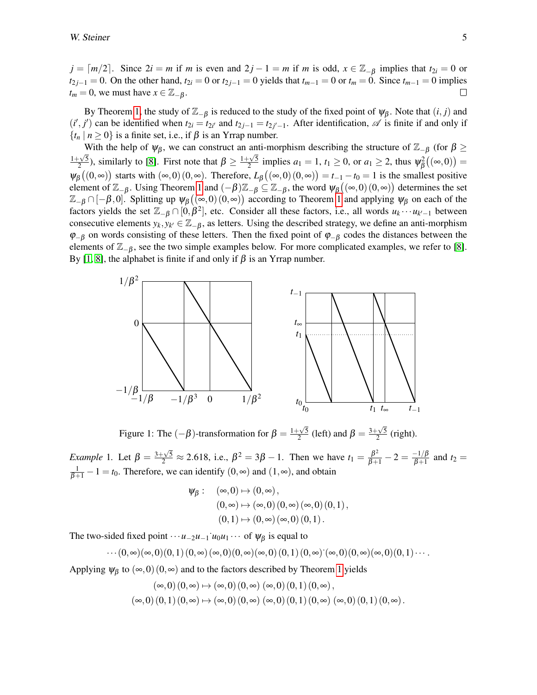$j = \lceil m/2 \rceil$ . Since  $2i = m$  if *m* is even and  $2j - 1 = m$  if *m* is odd,  $x \in \mathbb{Z}_{-6}$  implies that  $t_{2i} = 0$  or *t*<sub>2*j*−1</sub> = 0. On the other hand, *t*<sub>2*i*</sub> = 0 or *t*<sub>2*j*−1</sub> = 0 yields that *t<sub>m−1</sub>* = 0 or *t<sub>m</sub>* = 0. Since *t<sub>m−1</sub>* = 0 implies  $t_m = 0$ , we must have  $x \in \mathbb{Z}_{-\beta}$ .  $\Box$ 

By Theorem [1,](#page-3-1) the study of  $\mathbb{Z}_{-\beta}$  is reduced to the study of the fixed point of  $\psi_{\beta}$ . Note that  $(i, j)$  and  $(i', j')$  can be identified when  $t_{2i} = t_{2i'}$  and  $t_{2j-1} = t_{2j'-1}$ . After identification,  $\mathscr A$  is finite if and only if  ${t<sub>n</sub> | n \ge 0}$  is a finite set, i.e., if  $\beta$  is an Yrrap number.

With the help of  $\psi_{\beta}$ , we can construct an anti-morphism describing the structure of  $\mathbb{Z}_{-\beta}$  (for  $\beta \geq$  $rac{1+\sqrt{5}}{1+\sqrt{5}}$  $\frac{2\sqrt{5}}{2}$ , similarly to [\[8\]](#page-9-3). First note that  $\beta \ge \frac{1+\sqrt{5}}{2}$  $\frac{2\sqrt{5}}{2}$  implies  $a_1 = 1$ ,  $t_1 \ge 0$ , or  $a_1 \ge 2$ , thus  $\psi_\beta^2$  $\sigma^2_\beta\big((\infty,0)\big)=$  $\Psi_{\beta}\big((0,\infty)\big)$  starts with  $(\infty,0)(0,\infty)$ . Therefore,  $L_{\beta}\big((\infty,0)(0,\infty)\big) = t_{-1} - t_0 = 1$  is the smallest positive element of  $\mathbb{Z}_{-\beta}$ . Using Theorem [1](#page-3-1) and  $(-\beta)\mathbb{Z}_{-\beta} \subseteq \mathbb{Z}_{-\beta}$ , the word  $\psi_{\beta}((\infty,0)(0,\infty))$  determines the set  $\mathbb{Z}_{-\beta}\cap[-\beta,0]$ . Splitting up  $\psi_{\beta}((\infty,0)(0,\infty))$  according to Theorem [1](#page-3-1) and applying  $\psi_{\beta}$  on each of the factors yields the set  $\mathbb{Z}_{-\beta} \cap [0,\beta^2]$ , etc. Consider all these factors, i.e., all words  $u_k \cdots u_{k'-1}$  between consecutive elements  $y_k, y_{k'} \in \mathbb{Z}_{-\beta}$ , as letters. Using the described strategy, we define an anti-morphism  $\varphi_{-\beta}$  on words consisting of these letters. Then the fixed point of  $\varphi_{-\beta}$  codes the distances between the elements of  $\mathbb{Z}_{-\beta}$ , see the two simple examples below. For more complicated examples, we refer to [\[8\]](#page-9-3). By [\[1,](#page-9-2) [8\]](#page-9-3), the alphabet is finite if and only if  $β$  is an Yrrap number.



<span id="page-4-0"></span>Figure 1: The  $(-\beta)$ -transformation for  $\beta = \frac{1+\sqrt{5}}{2}$  $\frac{\sqrt{5}}{2}$  (left) and  $\beta = \frac{3+\sqrt{5}}{2}$  $\frac{\sqrt{5}}{2}$  (right).

*Example* 1. Let  $\beta = \frac{3+\sqrt{5}}{2} \approx 2.618$ , i.e.,  $\beta^2 = 3\beta - 1$ . Then we have  $t_1 = \frac{\beta^2}{\beta+1} - 2 = \frac{-1}{\beta+1}$  $\frac{-1}{\beta+1}$  and  $t_2 =$  $\frac{1}{\beta+1} - 1 = t_0$ . Therefore, we can identify  $(0, \infty)$  and  $(1, \infty)$ , and obtain

$$
\psi_{\beta}: (\infty,0) \mapsto (0,\infty),
$$
  
\n
$$
(0,\infty) \mapsto (\infty,0) (0,\infty) (\infty,0) (0,1),
$$
  
\n
$$
(0,1) \mapsto (0,\infty) (\infty,0) (0,1).
$$

The two-sided fixed point  $\cdots u_{-2}u_{-1}$  *u*<sub>0</sub>*u*<sub>1</sub>  $\cdots$  of  $\psi_{\beta}$  is equal to

$$
\cdots (0,\infty)(\infty,0)(0,1) (0,\infty)(\infty,0)(0,\infty)(\infty,0) (0,1) (0,\infty) \ (\infty,0)(0,\infty)(\infty,0)(0,1) \cdots.
$$

Applying  $\psi_\beta$  to  $(\infty,0)$  (0, $\infty$ ) and to the factors described by Theorem [1](#page-3-1) yields

$$
(\infty,0) (0,\infty) \mapsto (\infty,0) (0,\infty) (\infty,0) (0,1) (0,\infty), (\infty,0) (0,1) (0,\infty) \mapsto (\infty,0) (0,\infty) (\infty,0) (0,1) (0,\infty) (\infty,0) (0,1) (0,\infty).
$$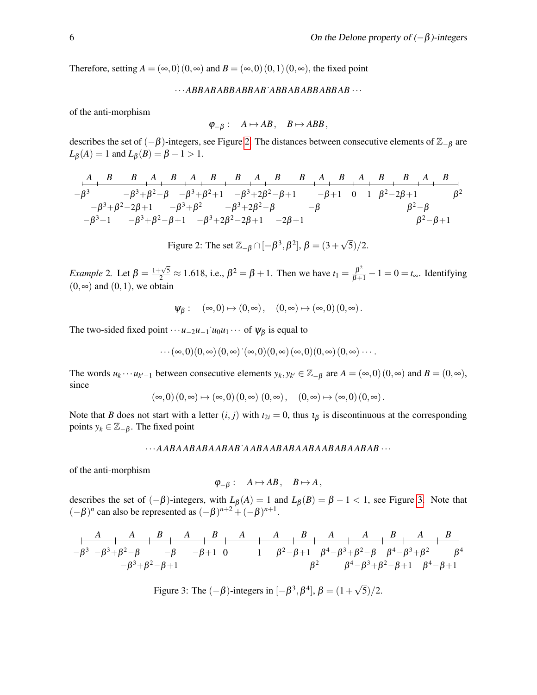Therefore, setting  $A = (\infty, 0) (0, \infty)$  and  $B = (\infty, 0) (0, 1) (0, \infty)$ , the fixed point

···*ABBABABBABBAB*˙*ABBABABBABBAB* ···

of the anti-morphism

$$
\varphi_{-\beta}:\quad A\mapsto AB\,,\quad B\mapsto ABB\,,
$$

describes the set of  $(-\beta)$ -integers, see Figure [2.](#page-5-0) The distances between consecutive elements of  $\mathbb{Z}_{-\beta}$  are  $L_{\beta}(A) = 1$  and  $L_{\beta}(B) = \beta - 1 > 1$ .

−β 3 −β <sup>3</sup>+1 −β <sup>3</sup>+β <sup>2</sup>−2β+1 −β <sup>3</sup>+β <sup>2</sup>−β −β <sup>3</sup>+β <sup>2</sup>−β+1 −β <sup>3</sup>+β 2 −β <sup>3</sup>+β <sup>2</sup>+1 −β <sup>3</sup>+2β <sup>2</sup>−2β+1 −β <sup>3</sup>+2β <sup>2</sup>−β −β <sup>3</sup>+2β <sup>2</sup>−β+1 −2β+1 −β −β+1 0 1 β <sup>2</sup>−2β+1 β <sup>2</sup>−β β <sup>2</sup>−β+1 β 2 *A B B A B A B B A B B A B A B B A B*

<span id="page-5-0"></span>Figure 2: The set  $\mathbb{Z}_{-\beta} \cap [-\beta^3, \beta^2]$ ,  $\beta = (3 + \beta)$ √  $5)/2.$ 

*Example* 2. Let  $\beta = \frac{1+\sqrt{5}}{2} \approx 1.618$ , i.e.,  $\beta^2 = \beta + 1$ . Then we have  $t_1 = \frac{\beta^2}{\beta+1} - 1 = 0 = t_\infty$ . Identifying  $(0, \infty)$  and  $(0, 1)$ , we obtain

$$
\psi_{\beta}: \quad (\infty,0) \mapsto (0,\infty)\,, \quad (0,\infty) \mapsto (\infty,0) \, (0,\infty)\,.
$$

The two-sided fixed point  $\cdots u_{-2}u_{-1}$  *u*<sub>0</sub>*u*<sub>1</sub>  $\cdots$  of  $\psi_{\beta}$  is equal to

$$
\cdots(\infty,0)(0,\infty)(0,\infty) \dot{\ }(\infty,0)(0,\infty)(\infty,0)(0,\infty)(0,\infty)\cdots.
$$

The words  $u_k \cdots u_{k'-1}$  between consecutive elements  $y_k, y_{k'} \in \mathbb{Z}_{-\beta}$  are  $A = (\infty, 0) (0, \infty)$  and  $B = (0, \infty)$ , since

$$
\left(\infty,0\right)\left(0,\infty\right)\mapsto \left(\infty,0\right)\left(0,\infty\right)\,\left(0,\infty\right),\quad \left(0,\infty\right)\mapsto \left(\infty,0\right)\left(0,\infty\right).
$$

Note that *B* does not start with a letter  $(i, j)$  with  $t_{2i} = 0$ , thus  $t_{\beta}$  is discontinuous at the corresponding points  $y_k \in \mathbb{Z}_{-\beta}$ . The fixed point

#### ···*AABAABABAABAB*˙*AABAABABAABAABABAABAB* ···

of the anti-morphism

$$
\varphi_{-\beta}:\quad A\mapsto AB\,,\quad B\mapsto A\,,
$$

describes the set of  $(-\beta)$ -integers, with  $L_{\beta}(A) = 1$  and  $L_{\beta}(B) = \beta - 1 < 1$ , see Figure [3.](#page-5-1) Note that  $(-\beta)^n$  can also be represented as  $(-\beta)^{n+2} + (-\beta)^{n+1}$ .

−β <sup>3</sup> −β <sup>3</sup>+β <sup>2</sup>−β −β <sup>3</sup>+β <sup>2</sup>−β+1 −β −β+1 0 1 β <sup>2</sup>−β+1 β 2 β <sup>4</sup>−β <sup>3</sup>+β <sup>2</sup>−β β <sup>4</sup>−β <sup>3</sup>+β <sup>2</sup>−β+1 β <sup>4</sup>−β <sup>3</sup>+β 2 β <sup>4</sup>−β+1 β 4 *A A B A B A A B A A B A B*

<span id="page-5-1"></span>Figure 3: The  $(-\beta)$ -integers in  $[-\beta^3, \beta^4]$ ,  $\beta = (1 +$ √  $(5)/2.$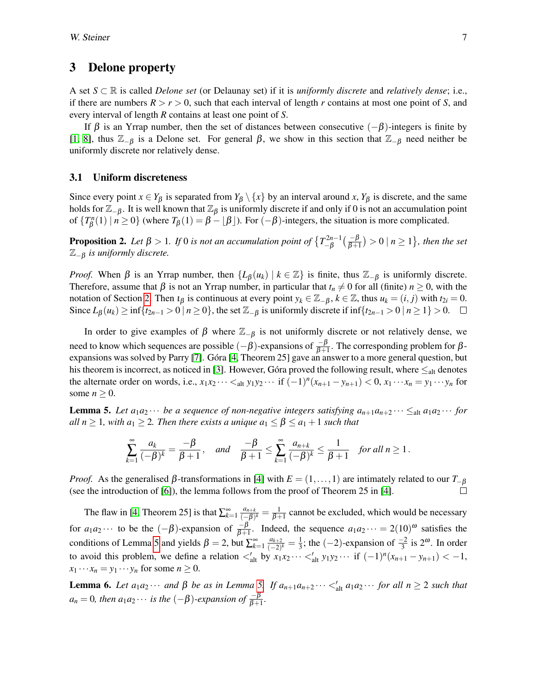## <span id="page-6-0"></span>3 Delone property

A set *S* ⊂ R is called *Delone set* (or Delaunay set) if it is *uniformly discrete* and *relatively dense*; i.e., if there are numbers  $R > r > 0$ , such that each interval of length r contains at most one point of S, and every interval of length *R* contains at least one point of *S*.

If  $\beta$  is an Yrrap number, then the set of distances between consecutive  $(-\beta)$ -integers is finite by [\[1,](#page-9-2) [8\]](#page-9-3), thus <sup>Z</sup>−<sup>β</sup> is a Delone set. For general <sup>β</sup>, we show in this section that <sup>Z</sup>−<sup>β</sup> need neither be uniformly discrete nor relatively dense.

#### 3.1 Uniform discreteness

Since every point  $x \in Y_\beta$  is separated from  $Y_\beta \setminus \{x\}$  by an interval around *x*,  $Y_\beta$  is discrete, and the same holds for  $\mathbb{Z}_{-\beta}$ . It is well known that  $\mathbb{Z}_\beta$  is uniformly discrete if and only if 0 is not an accumulation point of  $\{T^n_{\beta}\}$  $\beta^{n}(1) \mid n \ge 0$ } (where  $T_{\beta}(1) = \beta - \lfloor \beta \rfloor$ ). For  $(-\beta)$ -integers, the situation is more complicated.

<span id="page-6-3"></span>**Proposition 2.** Let  $\beta > 1$ . If 0 is not an accumulation point of  $\left\{T_{-\beta}^{2n-1}\right\}$  $\frac{r2n-1}{-\beta}(\frac{-\beta}{\beta+1})>0$  |  $n\geq 1$  }, then the set <sup>Z</sup>−<sup>β</sup> *is uniformly discrete.*

*Proof.* When  $\beta$  is an Yrrap number, then  $\{L_{\beta}(u_k) \mid k \in \mathbb{Z}\}\$  is finite, thus  $\mathbb{Z}_{-\beta}$  is uniformly discrete. Therefore, assume that  $\beta$  is not an Yrrap number, in particular that  $t_n \neq 0$  for all (finite)  $n \geq 0$ , with the notation of Section [2.](#page-1-0) Then  $\iota_{\beta}$  is continuous at every point  $y_k \in \mathbb{Z}_{-\beta}$ ,  $k \in \mathbb{Z}$ , thus  $u_k = (i, j)$  with  $t_{2i} = 0$ . Since  $L_{\beta}(u_k)$  ≥ inf{ $t_{2n-1} > 0 \mid n \ge 0$ }, the set  $\mathbb{Z}_{-\beta}$  is uniformly discrete if inf{ $t_{2n-1} > 0 \mid n \ge 1$ } > 0.  $\Box$ 

In order to give examples of  $\beta$  where  $\mathbb{Z}_{-\beta}$  is not uniformly discrete or not relatively dense, we need to know which sequences are possible  $(-\beta)$ -expansions of  $\frac{-\beta}{\beta+1}$ . The corresponding problem for β-expansions was solved by Parry [\[7\]](#page-9-4). Góra [\[4,](#page-9-5) Theorem 25] gave an answer to a more general question, but his theorem is incorrect, as noticed in [\[3\]](#page-9-6). However, Góra proved the following result, where  $\leq_{\text{alt}}$  denotes the alternate order on words, i.e.,  $x_1x_2 \cdots <_{\text{alt}} y_1y_2 \cdots$  if  $(-1)^n(x_{n+1} - y_{n+1}) < 0$ ,  $x_1 \cdots x_n = y_1 \cdots y_n$  for some  $n \geq 0$ .

<span id="page-6-1"></span>**Lemma 5.** Let  $a_1a_2 \cdots$  be a sequence of non-negative integers satisfying  $a_{n+1}a_{n+2} \cdots \leq_{\text{alt}} a_1a_2 \cdots$  for *all*  $n \geq 1$ *, with*  $a_1 \geq 2$ *. Then there exists a unique*  $a_1 \leq \beta \leq a_1 + 1$  *such that* 

$$
\sum_{k=1}^{\infty} \frac{a_k}{(-\beta)^k} = \frac{-\beta}{\beta+1}, \quad \text{and} \quad \frac{-\beta}{\beta+1} \le \sum_{k=1}^{\infty} \frac{a_{n+k}}{(-\beta)^k} \le \frac{1}{\beta+1} \quad \text{for all } n \ge 1.
$$

*Proof.* As the generalised  $\beta$ -transformations in [\[4\]](#page-9-5) with  $E = (1, \ldots, 1)$  are intimately related to our  $T_{-\beta}$ (see the introduction of [\[6\]](#page-9-7)), the lemma follows from the proof of Theorem 25 in [\[4\]](#page-9-5).

The flaw in [\[4,](#page-9-5) Theorem 25] is that  $\sum_{k=1}^{\infty} \frac{a_{n+k}}{(-\beta)}$  $\frac{a_{n+k}}{(-\beta)^k} = \frac{1}{\beta+1}$  cannot be excluded, which would be necessary for  $a_1 a_2 \cdots$  to be the  $(-\beta)$ -expansion of  $\frac{-\beta}{\beta+1}$ . Indeed, the sequence  $a_1 a_2 \cdots = 2(10)^\omega$  satisfies the conditions of Lemma [5](#page-6-1) and yields  $\beta = 2$ , but  $\sum_{k=1}^{\infty} \frac{a_{k+2}}{(-2)}$  $\frac{a_{k+2}}{(-2)^k} = \frac{1}{3}$  $\frac{1}{3}$ ; the (-2)-expansion of  $\frac{-2}{3}$  is  $2^{\omega}$ . In order to avoid this problem, we define a relation  $\langle u \rangle_{\text{alt}}$  by  $x_1 x_2 \cdots \langle u \rangle_{\text{alt}} y_1 y_2 \cdots$  if  $(-1)^n (x_{n+1} - y_{n+1}) < -1$ ,  $x_1 \cdots x_n = y_1 \cdots y_n$  for some  $n \geq 0$ .

<span id="page-6-2"></span>**Lemma 6.** Let  $a_1a_2 \cdots$  and β be as in Lemma [5.](#page-6-1) If  $a_{n+1}a_{n+2} \cdots <sup>′</sup>_{alt}a_1a_2 \cdots$  for all  $n ≥ 2$  such that  $a_n = 0$ , then  $a_1 a_2 \cdots$  *is the*  $(-\beta)$ -expansion of  $\frac{-\beta}{\beta+1}$ .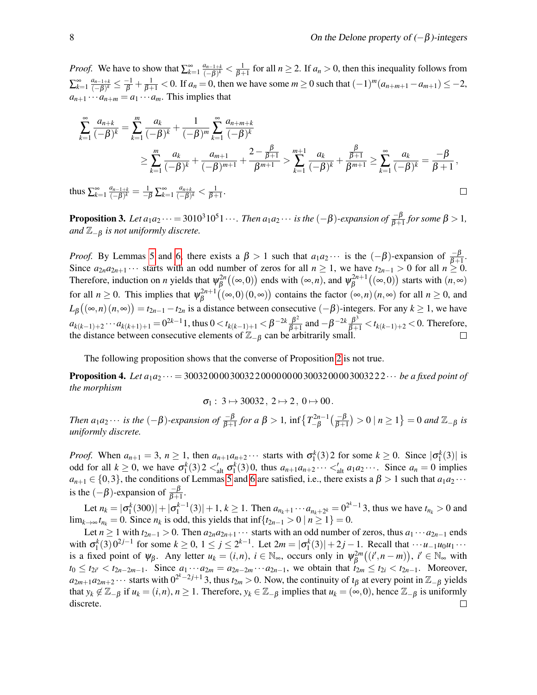$\Box$ 

*Proof.* We have to show that  $\sum_{k=1}^{\infty} \frac{a_{n-1+k}}{(-\beta)^k}$  $\frac{a_{n-1+k}}{(-\beta)^k} < \frac{1}{\beta+1}$  for all  $n \ge 2$ . If  $a_n > 0$ , then this inequality follows from  $\sum_{k=1}^{\infty} \frac{a_{n-1+k}}{(-\beta)^k}$  $\frac{a_{n-1+k}}{(-\beta)^k} \le \frac{-1}{\beta} + \frac{1}{\beta+1} < 0$ . If  $a_n = 0$ , then we have some  $m \ge 0$  such that  $(-1)^m (a_{n+m+1} - a_{m+1}) \le -2$ ,  $a_{n+1} \cdots a_{n+m} = a_1 \cdots a_m$ . This implies that

$$
\sum_{k=1}^{\infty} \frac{a_{n+k}}{(-\beta)^k} = \sum_{k=1}^m \frac{a_k}{(-\beta)^k} + \frac{1}{(-\beta)^m} \sum_{k=1}^{\infty} \frac{a_{n+m+k}}{(-\beta)^k}
$$
\n
$$
\geq \sum_{k=1}^m \frac{a_k}{(-\beta)^k} + \frac{a_{m+1}}{(-\beta)^{m+1}} + \frac{2 - \frac{\beta}{\beta+1}}{\beta^{m+1}} > \sum_{k=1}^{m+1} \frac{a_k}{(-\beta)^k} + \frac{\frac{\beta}{\beta+1}}{\beta^{m+1}} \geq \sum_{k=1}^{\infty} \frac{a_k}{(-\beta)^k} = \frac{-\beta}{\beta+1},
$$

thus  $\sum_{k=1}^{\infty} \frac{a_{n-1+k}}{(-\beta)^k}$  $\frac{a_{n-1+k}}{(-\beta)^k} = \frac{1}{-\beta} \sum_{k=1}^{\infty} \frac{a_{n+k}}{(-\beta)^k}$  $\frac{a_{n+k}}{(-\beta)^k}<\frac{1}{\beta+1}.$ 

**Proposition 3.** Let  $a_1a_2\cdots = 3010^310^51\cdots$ . Then  $a_1a_2\cdots$  is the  $(-\beta)$ -expansion of  $\frac{-\beta}{\beta+1}$  for some  $\beta > 1$ , *and*  $\mathbb{Z}_{-\beta}$  *is not uniformly discrete.* 

*Proof.* By Lemmas [5](#page-6-1) and [6,](#page-6-2) there exists a  $\beta > 1$  such that  $a_1 a_2 \cdots$  is the  $(-\beta)$ -expansion of  $\frac{-\beta}{\beta+1}$ . Since  $a_{2n}a_{2n+1}\cdots$  starts with an odd number of zeros for all  $n \ge 1$ , we have  $t_{2n-1} > 0$  for all  $n \ge 0$ . Therefore, induction on *n* yields that  $\psi_B^{2n}$  $\varphi_{\beta}^{2n}((\infty,0))$  ends with  $(\infty,n)$ , and  $\psi_{\beta}^{2n+1}$  $\beta^{2n+1}((\infty,0))$  starts with  $(n,\infty)$ for all  $n \geq 0$ . This implies that  $\psi_{\beta}^{2n+1}$  $\beta_{\beta}^{2n+1}((\infty,0)(0,\infty))$  contains the factor  $(\infty,n)(n,\infty)$  for all  $n \ge 0$ , and  $L_{\beta}\left(\left(\infty,n\right)\left(n,\infty\right)\right) = t_{2n-1} - t_{2n}$  is a distance between consecutive  $(-\beta)$ -integers. For any  $k \geq 1$ , we have  $a_{k(k-1)+2} \cdots a_{k(k+1)+1} = 0^{2k-1}1$ , thus  $0 < t_{k(k-1)+1} < \beta^{-2k} \frac{\beta^2}{\beta + 1}$  $\frac{\beta^2}{\beta+1}$  and  $-\beta^{-2k} \frac{\beta^3}{\beta+1}$  < *t*<sub>*k*(*k*−1)+2 < 0. Therefore,</sub> the distance between consecutive elements of  $\mathbb{Z}_{-\beta}$  can be arbitrarily small.

The following proposition shows that the converse of Proposition [2](#page-6-3) is not true.

**Proposition 4.** Let  $a_1a_2 \cdots = 300320000300322000000003003200003003222 \cdots$  *be a fixed point of the morphism*

$$
\sigma_1: 3 \mapsto 30032, 2 \mapsto 2, 0 \mapsto 00.
$$

*Then*  $a_1a_2 \cdots$  *is the*  $(-\beta)$ *-expansion of*  $\frac{-\beta}{\beta+1}$  *for*  $a \beta > 1$ *,*  $\inf \left\{ T_{-\beta}^{2n-1} \right\}$ <sup>-2*n*-1</sup> ( $\frac{-\beta}{\beta+1}$ ) > 0 | *n* ≥ 1} = 0 *and*  $\mathbb{Z}_{-\beta}$  *is uniformly discrete.*

*Proof.* When  $a_{n+1} = 3$ ,  $n \ge 1$ , then  $a_{n+1}a_{n+2} \cdots$  starts with  $\sigma_1^k(3)$  for some  $k \ge 0$ . Since  $|\sigma_1^k(3)|$  is odd for all  $k \ge 0$ , we have  $\sigma_1^k(3) \cdot 2 \le_{\text{alt}}' \sigma_1^k(3) \cdot 0$ , thus  $a_{n+1}a_{n+2} \cdots \le_{\text{alt}}' a_1 a_2 \cdots$ . Since  $a_n = 0$  implies  $a_{n+1} \in \{0,3\}$ , the conditions of Lemmas [5](#page-6-1) and [6](#page-6-2) are satisfied, i.e., there exists a  $\beta > 1$  such that  $a_1 a_2 \cdots$ is the  $(-\beta)$ -expansion of  $\frac{-\beta}{\beta+1}$ .

Let  $n_k = |\sigma_1^k(300)| + |\sigma_1^{k-1}(3)| + 1$ ,  $k \ge 1$ . Then  $a_{n_k+1} \cdots a_{n_k+2^k} = 0^{2^k-1}$  3, thus we have  $t_{n_k} > 0$  and lim<sub>*k→∞</sub> t<sub>n<sub>k</sub></sub>* = 0. Since *n<sub>k</sub>* is odd, this yields that inf{*t*<sub>2*n*−1</sub> > 0 | *n* ≥ 1} = 0.</sub>

Let  $n \ge 1$  with  $t_{2n-1} > 0$ . Then  $a_{2n}a_{2n+1} \cdots$  starts with an odd number of zeros, thus  $a_1 \cdots a_{2n-1}$  ends with  $\sigma_1^k(3)0^{2j-1}$  for some  $k \ge 0$ ,  $1 \le j \le 2^{k-1}$ . Let  $2m = |\sigma_1^k(3)| + 2j - 1$ . Recall that  $\cdots u_{-1}u_0u_1 \cdots$ is a fixed point of  $\psi_{\beta}$ . Any letter  $u_k = (i, n)$ ,  $i \in \mathbb{N}_{\infty}$ , occurs only in  $\psi_{\beta}^{2m}$  $\beta^{2m}((i', n-m)), i' \in \mathbb{N}_{\infty}$  with  $t_0 \le t_{2i'} < t_{2n-2m-1}$ . Since  $a_1 \cdots a_{2m} = a_{2n-2m} \cdots a_{2n-1}$ , we obtain that  $t_{2m} \le t_{2i} < t_{2n-1}$ . Moreover,  $a_{2m+1}a_{2m+2}\cdots$  starts with  $0^{2^k-2j+1}$  3, thus  $t_{2m}>0$ . Now, the continuity of  $\iota_\beta$  at every point in  $\mathbb{Z}_{-\beta}$  yields that  $y_k \notin \mathbb{Z}_{-\beta}$  if  $u_k = (i, n), n \ge 1$ . Therefore,  $y_k \in \mathbb{Z}_{-\beta}$  implies that  $u_k = (\infty, 0)$ , hence  $\mathbb{Z}_{-\beta}$  is uniformly discrete. $\Box$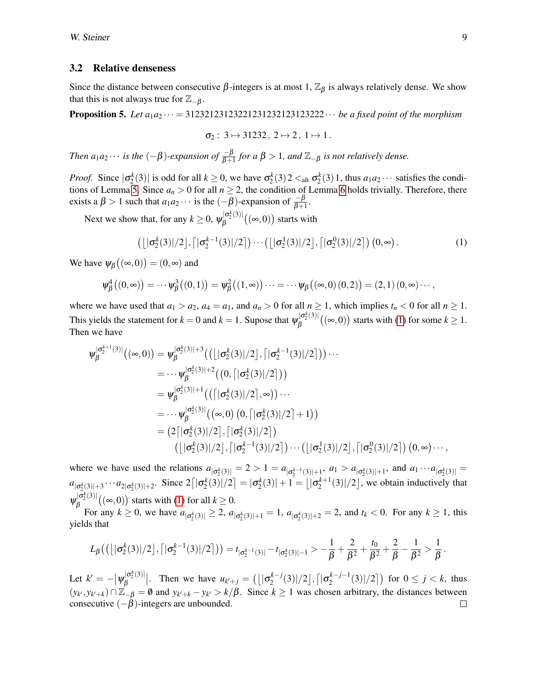#### 3.2 Relative denseness

Since the distance between consecutive  $\beta$ -integers is at most 1,  $\mathbb{Z}_{\beta}$  is always relatively dense. We show that this is not always true for  $\mathbb{Z}_{-\beta}$ .

**Proposition 5.** Let  $a_1a_2\cdots = 31232123123221231232123123222\cdots$  *be a fixed point of the morphism* 

<span id="page-8-0"></span>
$$
\sigma_2: 3 \mapsto 31232, 2 \mapsto 2, 1 \mapsto 1.
$$

*Then*  $a_1a_2\cdots$  *is the*  $(-\beta)$ *-expansion of*  $\frac{-\beta}{\beta+1}$  *for*  $a\beta > 1$ *, and*  $\mathbb{Z}_{-\beta}$  *is not relatively dense.* 

*Proof.* Since  $|\sigma_2^k(3)|$  is odd for all  $k \ge 0$ , we have  $\sigma_2^k(3) \cdot 2 \lt_{\text{alt}} \sigma_2^k(3) \cdot 1$ , thus  $a_1 a_2 \cdots$  satisfies the condi-tions of Lemma [5.](#page-6-1) Since  $a_n > 0$  for all  $n \ge 2$ , the condition of Lemma [6](#page-6-2) holds trivially. Therefore, there exists a  $\beta > 1$  such that  $a_1 a_2 \cdots$  is the  $(-\beta)$ -expansion of  $\frac{-\beta}{\beta+1}$ .

Next we show that, for any  $k \geq 0$ ,  $\psi_B^{|\sigma_2^k(3)|}$  $\int_{\beta}^{\lfloor \sigma_2^{\alpha}(3) \rfloor} ((\infty, 0))$  starts with

$$
\left(\left\lfloor |\sigma_2^k(3)|/2\right\rfloor, \left\lceil |\sigma_2^{k-1}(3)|/2\right\rceil\right)\cdots\left(\left\lfloor |\sigma_2^1(3)|/2\right\rfloor, \left\lceil |\sigma_2^0(3)|/2\right\rceil\right)\left(0, \infty\right). \tag{1}
$$

We have  $\psi_{\beta}\big((\infty,0)\big)=(0,\infty)$  and

$$
\psi_{\beta}^{4}((0,\infty)) = \cdots \psi_{\beta}^{3}((0,1)) = \psi_{\beta}^{2}((1,\infty)) \cdots = \cdots \psi_{\beta}((\infty,0)(0,2)) = (2,1)(0,\infty) \cdots,
$$

where we have used that  $a_1 > a_2$ ,  $a_4 = a_1$ , and  $a_n > 0$  for all  $n \ge 1$ , which implies  $t_n < 0$  for all  $n \ge 1$ . This yields the statement for  $k = 0$  and  $k = 1$ . Supose that  $\psi_B^{|\sigma_2^k(3)|}$  $\beta_{\beta}^{|\sigma_2^{\circ}(3)|}((\infty,0))$  starts with [\(1\)](#page-8-0) for some  $k \geq 1$ . Then we have

$$
\psi_{\beta}^{|\sigma_{2}^{k+1}(3)|}((\infty,0)) = \psi_{\beta}^{|\sigma_{2}^{k}(3)|+3}((\lfloor |\sigma_{2}^{k}(3)|/2 \rfloor, [\lfloor \sigma_{2}^{k-1}(3)|/2 \rfloor)) \cdots \n= \cdots \psi_{\beta}^{|\sigma_{2}^{k}(3)|+2}((0, [\lfloor \sigma_{2}^{k}(3)|/2 \rfloor)) \n= \psi_{\beta}^{|\sigma_{2}^{k}(3)|+1}((\lfloor |\sigma_{2}^{k}(3)|/2 \rfloor, \infty)) \cdots \n= \cdots \psi_{\beta}^{|\sigma_{2}^{k}(3)|}((\infty,0) (0, [\lfloor \sigma_{2}^{k}(3)|/2 \rfloor + 1)) \n= (2\lfloor |\sigma_{2}^{k}(3)|/2 \rfloor, [\lfloor \sigma_{2}^{k}(3)|/2 \rfloor) \cdots (\lfloor |\sigma_{2}^{1}(3)|/2 \rfloor, [\lfloor \sigma_{2}^{0}(3)|/2 \rfloor) (0, \infty) \cdots,
$$

where we have used the relations  $a_{|\sigma_2^k(3)|} = 2 > 1 = a_{|\sigma_2^{k-1}(3)|+1}$ ,  $a_1 > a_{|\sigma_2^k(3)|+1}$ , and  $a_1 \cdots a_{|\sigma_2^k(3)|} =$  $a_{|\sigma_2^k(3)|+3} \cdots a_{2|\sigma_2^k(3)|+2}$ . Since  $2\lceil |\sigma_2^k(3)|/2 \rceil = |\sigma_2^k(3)| + 1 = \lfloor |\sigma_2^{k+1}(3)|/2 \rfloor$ , we obtain inductively that  $\psi_B^{|\sigma_2^k(3)|}$  $\beta_{\beta}^{\lfloor \log_2(3) \rfloor}((\infty, 0))$  starts with [\(1\)](#page-8-0) for all  $k \geq 0$ .

For any  $k \ge 0$ , we have  $a_{|\sigma_2^k(3)|} \ge 2$ ,  $a_{|\sigma_2^k(3)|+1} = 1$ ,  $a_{|\sigma_2^k(3)|+2} = 2$ , and  $t_k < 0$ . For any  $k \ge 1$ , this yields that

$$
L_{\beta}\big(\big(\big[\big|\sigma_{2}^{k}(3)\big|/2\big],\big[\big|\sigma_{2}^{k-1}(3)\big|/2\big]\big)\big) = t_{|\sigma_{2}^{k-1}(3)|} - t_{|\sigma_{2}^{k}(3)|-1} > -\frac{1}{\beta} + \frac{2}{\beta^{2}} + \frac{t_{0}}{\beta^{2}} + \frac{2}{\beta} - \frac{1}{\beta^{2}} > \frac{1}{\beta}
$$

Let  $k' = -|\psi_{\beta}^{|\sigma_2^k(3)|}$  $|\sigma_2^{k(3)}|$ . Then we have  $u_{k'+j} = (l \mid \sigma_2^{k-j})$  $\frac{1}{2}$ *k−j*(3)|/2],  $\bigl\lceil |σ_{2}^{k-j-1} \bigr\rceil$  $\binom{k-j-1}{2}(3)/2$  for  $0 \le j < k$ , thus  $(y_k, y_{k'+k})$  ∩  $\mathbb{Z}_{-\beta} = \emptyset$  and  $y_{k'+k} - y_{k'} > k/\beta$ . Since  $k \ge 1$  was chosen arbitrary, the distances between consecutive  $(-\beta)$ -integers are unbounded.  $\Box$ 

.